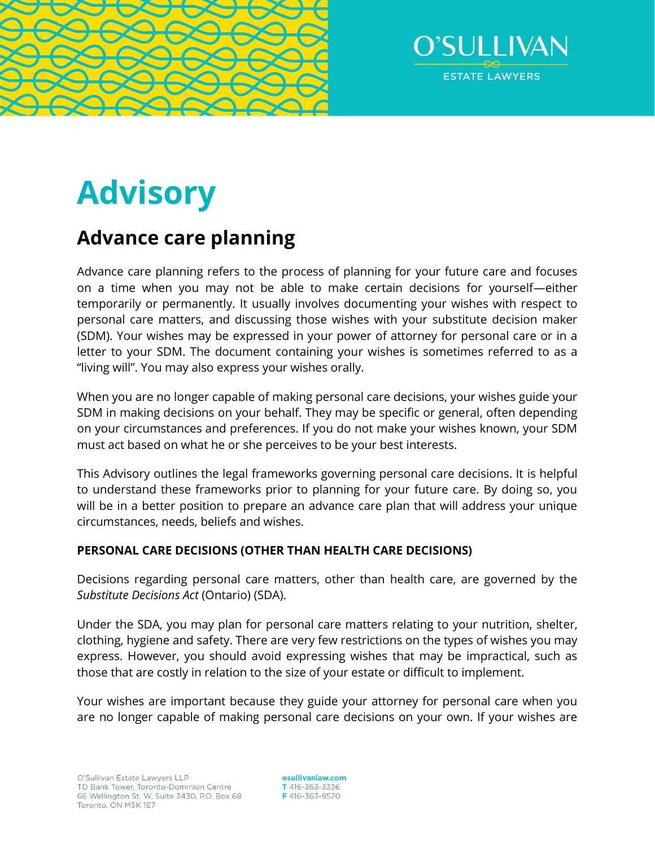



# **Advisory**

# **Advance care planning**

Advance care planning refers to the process of planning for your future care and focuses on a time when you may not be able to make certain decisions for yourself—either temporarily or permanently. It usually involves documenting your wishes with respect to personal care matters, and discussing those wishes with your substitute decision maker (SDM). Your wishes may be expressed in your power of attorney for personal care or in a letter to your SDM. The document containing your wishes is sometimes referred to as a "living will". You may also express your wishes orally.

When you are no longer capable of making personal care decisions, your wishes guide your SDM in making decisions on your behalf. They may be specific or general, often depending on your circumstances and preferences. If you do not make your wishes known, your SDM must act based on what he or she perceives to be your best interests.

This Advisory outlines the legal frameworks governing personal care decisions. It is helpful to understand these frameworks prior to planning for your future care. By doing so, you will be in a better position to prepare an advance care plan that will address your unique circumstances, needs, beliefs and wishes.

## **PERSONAL CARE DECISIONS (OTHER THAN HEALTH CARE DECISIONS)**

Decisions regarding personal care matters, other than health care, are governed by the *Substitute Decisions Act* (Ontario) (SDA).

Under the SDA, you may plan for personal care matters relating to your nutrition, shelter, clothing, hygiene and safety. There are very few restrictions on the types of wishes you may express. However, you should avoid expressing wishes that may be impractical, such as those that are costly in relation to the size of your estate or difficult to implement.

Your wishes are important because they guide your attorney for personal care when you are no longer capable of making personal care decisions on your own. If your wishes are

osullivanlaw.com T 416-363-3336 F416-363-9570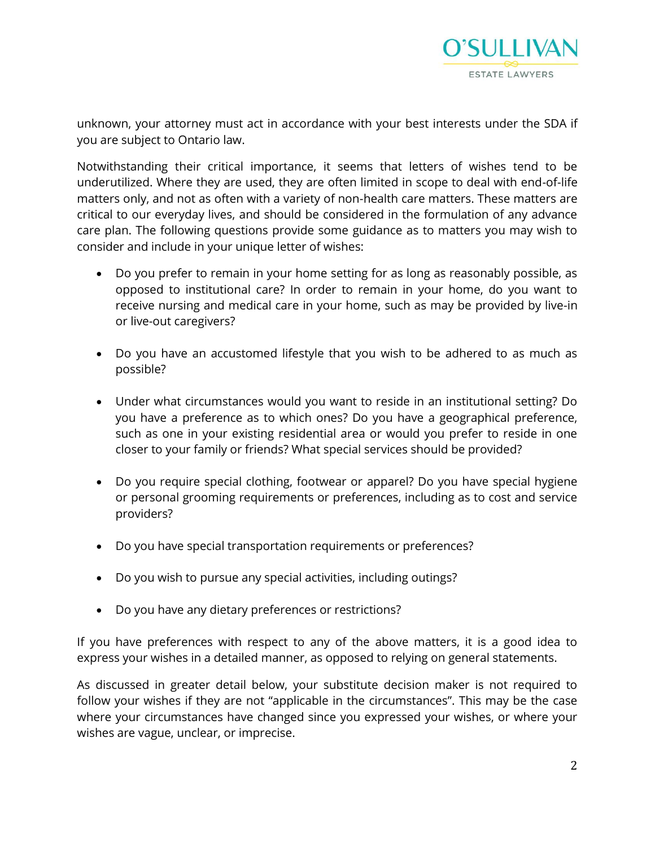

unknown, your attorney must act in accordance with your best interests under the SDA if you are subject to Ontario law.

Notwithstanding their critical importance, it seems that letters of wishes tend to be underutilized. Where they are used, they are often limited in scope to deal with end-of-life matters only, and not as often with a variety of non-health care matters. These matters are critical to our everyday lives, and should be considered in the formulation of any advance care plan. The following questions provide some guidance as to matters you may wish to consider and include in your unique letter of wishes:

- Do you prefer to remain in your home setting for as long as reasonably possible, as opposed to institutional care? In order to remain in your home, do you want to receive nursing and medical care in your home, such as may be provided by live-in or live-out caregivers?
- Do you have an accustomed lifestyle that you wish to be adhered to as much as possible?
- Under what circumstances would you want to reside in an institutional setting? Do you have a preference as to which ones? Do you have a geographical preference, such as one in your existing residential area or would you prefer to reside in one closer to your family or friends? What special services should be provided?
- Do you require special clothing, footwear or apparel? Do you have special hygiene or personal grooming requirements or preferences, including as to cost and service providers?
- Do you have special transportation requirements or preferences?
- Do you wish to pursue any special activities, including outings?
- Do you have any dietary preferences or restrictions?

If you have preferences with respect to any of the above matters, it is a good idea to express your wishes in a detailed manner, as opposed to relying on general statements.

As discussed in greater detail below, your substitute decision maker is not required to follow your wishes if they are not "applicable in the circumstances". This may be the case where your circumstances have changed since you expressed your wishes, or where your wishes are vague, unclear, or imprecise.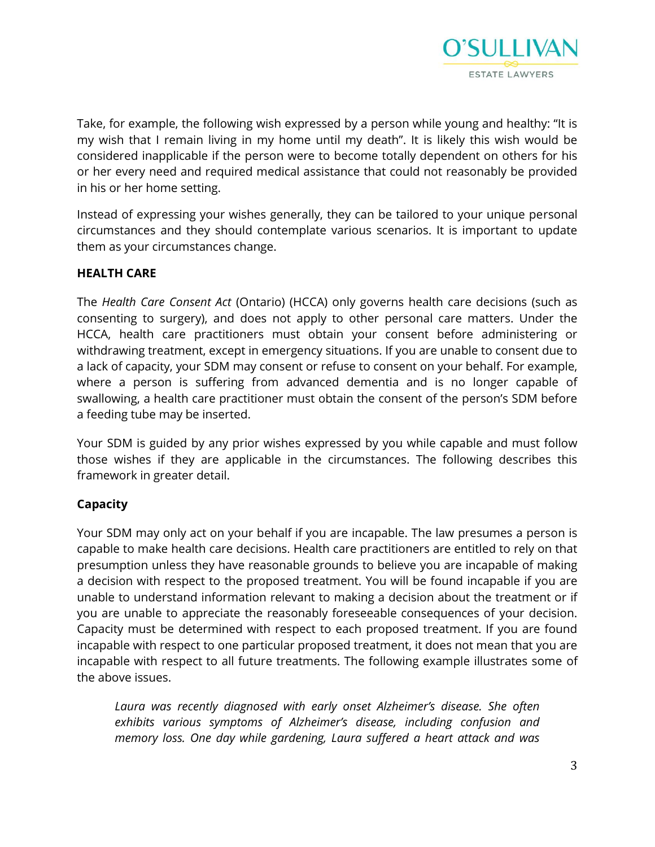

Take, for example, the following wish expressed by a person while young and healthy: "It is my wish that I remain living in my home until my death". It is likely this wish would be considered inapplicable if the person were to become totally dependent on others for his or her every need and required medical assistance that could not reasonably be provided in his or her home setting.

Instead of expressing your wishes generally, they can be tailored to your unique personal circumstances and they should contemplate various scenarios. It is important to update them as your circumstances change.

#### **HEALTH CARE**

The *Health Care Consent Act* (Ontario) (HCCA) only governs health care decisions (such as consenting to surgery), and does not apply to other personal care matters. Under the HCCA, health care practitioners must obtain your consent before administering or withdrawing treatment, except in emergency situations. If you are unable to consent due to a lack of capacity, your SDM may consent or refuse to consent on your behalf. For example, where a person is suffering from advanced dementia and is no longer capable of swallowing, a health care practitioner must obtain the consent of the person's SDM before a feeding tube may be inserted.

Your SDM is guided by any prior wishes expressed by you while capable and must follow those wishes if they are applicable in the circumstances. The following describes this framework in greater detail.

#### **Capacity**

Your SDM may only act on your behalf if you are incapable. The law presumes a person is capable to make health care decisions. Health care practitioners are entitled to rely on that presumption unless they have reasonable grounds to believe you are incapable of making a decision with respect to the proposed treatment. You will be found incapable if you are unable to understand information relevant to making a decision about the treatment or if you are unable to appreciate the reasonably foreseeable consequences of your decision. Capacity must be determined with respect to each proposed treatment. If you are found incapable with respect to one particular proposed treatment, it does not mean that you are incapable with respect to all future treatments. The following example illustrates some of the above issues.

Laura was recently diagnosed with early onset Alzheimer's disease. She often *exhibits various symptoms of Alzheimer's disease, including confusion and memory loss. One day while gardening, Laura suffered a heart attack and was*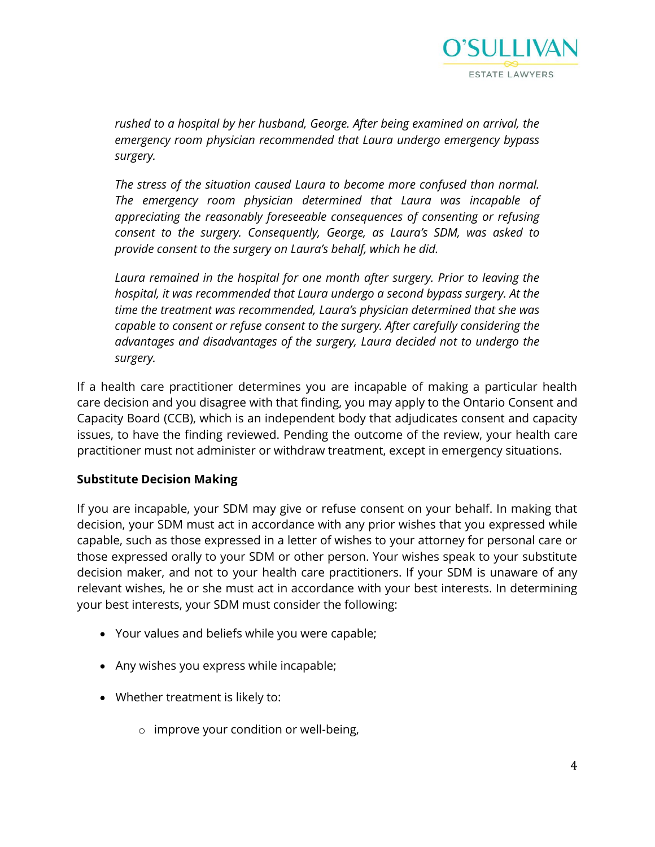

*rushed to a hospital by her husband, George. After being examined on arrival, the emergency room physician recommended that Laura undergo emergency bypass surgery.* 

*The stress of the situation caused Laura to become more confused than normal. The emergency room physician determined that Laura was incapable of appreciating the reasonably foreseeable consequences of consenting or refusing consent to the surgery. Consequently, George, as Laura's SDM, was asked to provide consent to the surgery on Laura's behalf, which he did.* 

*Laura remained in the hospital for one month after surgery. Prior to leaving the hospital, it was recommended that Laura undergo a second bypass surgery. At the time the treatment was recommended, Laura's physician determined that she was capable to consent or refuse consent to the surgery. After carefully considering the advantages and disadvantages of the surgery, Laura decided not to undergo the surgery.* 

If a health care practitioner determines you are incapable of making a particular health care decision and you disagree with that finding, you may apply to the Ontario Consent and Capacity Board (CCB), which is an independent body that adjudicates consent and capacity issues, to have the finding reviewed. Pending the outcome of the review, your health care practitioner must not administer or withdraw treatment, except in emergency situations.

#### **Substitute Decision Making**

If you are incapable, your SDM may give or refuse consent on your behalf. In making that decision, your SDM must act in accordance with any prior wishes that you expressed while capable, such as those expressed in a letter of wishes to your attorney for personal care or those expressed orally to your SDM or other person. Your wishes speak to your substitute decision maker, and not to your health care practitioners. If your SDM is unaware of any relevant wishes, he or she must act in accordance with your best interests. In determining your best interests, your SDM must consider the following:

- Your values and beliefs while you were capable;
- Any wishes you express while incapable;
- Whether treatment is likely to:
	- o improve your condition or well-being,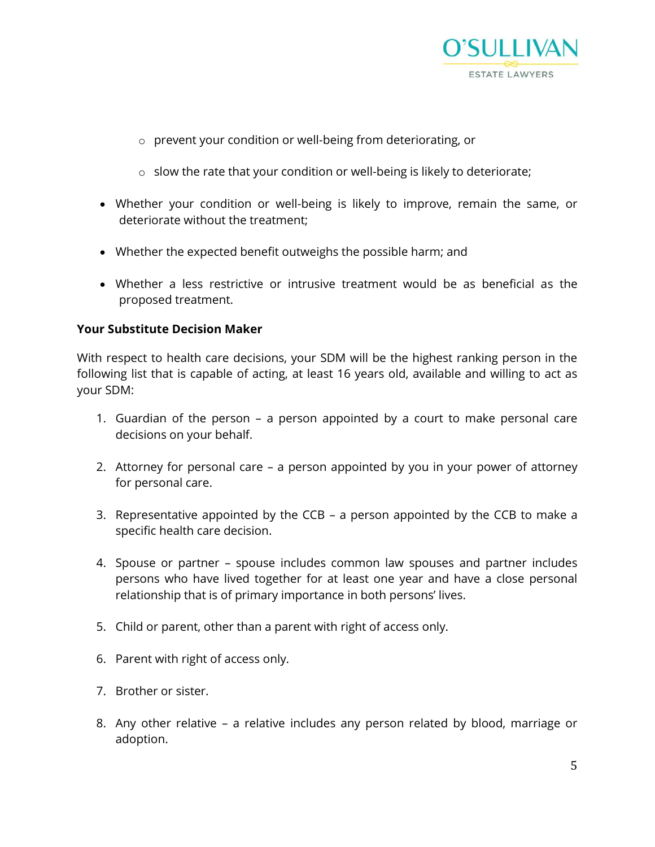

- o prevent your condition or well-being from deteriorating, or
- o slow the rate that your condition or well-being is likely to deteriorate;
- Whether your condition or well-being is likely to improve, remain the same, or deteriorate without the treatment;
- Whether the expected benefit outweighs the possible harm; and
- Whether a less restrictive or intrusive treatment would be as beneficial as the proposed treatment.

#### **Your Substitute Decision Maker**

With respect to health care decisions, your SDM will be the highest ranking person in the following list that is capable of acting, at least 16 years old, available and willing to act as your SDM:

- 1. Guardian of the person a person appointed by a court to make personal care decisions on your behalf.
- 2. Attorney for personal care a person appointed by you in your power of attorney for personal care.
- 3. Representative appointed by the CCB a person appointed by the CCB to make a specific health care decision.
- 4. Spouse or partner spouse includes common law spouses and partner includes persons who have lived together for at least one year and have a close personal relationship that is of primary importance in both persons' lives.
- 5. Child or parent, other than a parent with right of access only.
- 6. Parent with right of access only.
- 7. Brother or sister.
- 8. Any other relative a relative includes any person related by blood, marriage or adoption.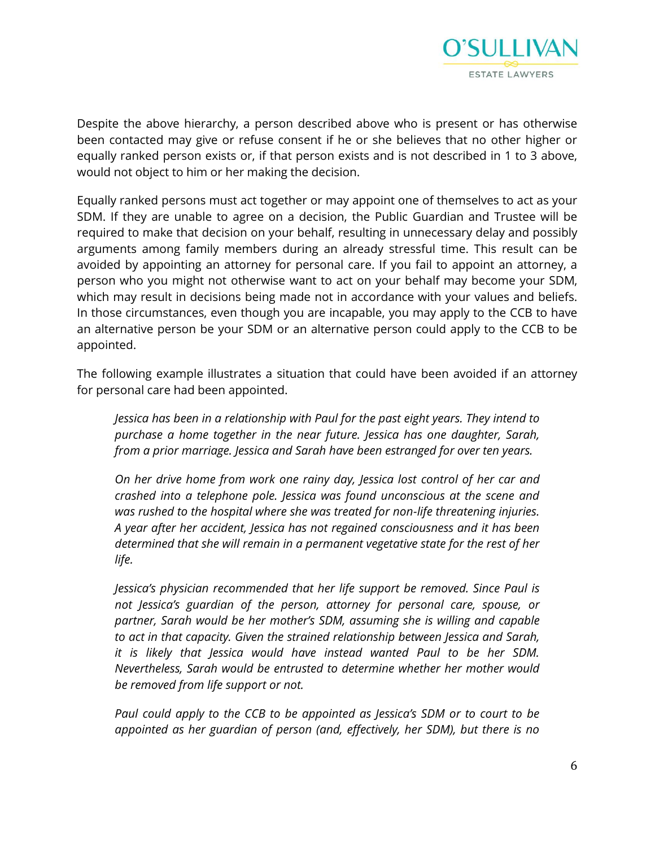

Despite the above hierarchy, a person described above who is present or has otherwise been contacted may give or refuse consent if he or she believes that no other higher or equally ranked person exists or, if that person exists and is not described in 1 to 3 above, would not object to him or her making the decision.

Equally ranked persons must act together or may appoint one of themselves to act as your SDM. If they are unable to agree on a decision, the Public Guardian and Trustee will be required to make that decision on your behalf, resulting in unnecessary delay and possibly arguments among family members during an already stressful time. This result can be avoided by appointing an attorney for personal care. If you fail to appoint an attorney, a person who you might not otherwise want to act on your behalf may become your SDM, which may result in decisions being made not in accordance with your values and beliefs. In those circumstances, even though you are incapable, you may apply to the CCB to have an alternative person be your SDM or an alternative person could apply to the CCB to be appointed.

The following example illustrates a situation that could have been avoided if an attorney for personal care had been appointed.

*Jessica has been in a relationship with Paul for the past eight years. They intend to purchase a home together in the near future. Jessica has one daughter, Sarah, from a prior marriage. Jessica and Sarah have been estranged for over ten years.* 

*On her drive home from work one rainy day, Jessica lost control of her car and crashed into a telephone pole. Jessica was found unconscious at the scene and was rushed to the hospital where she was treated for non-life threatening injuries. A year after her accident, Jessica has not regained consciousness and it has been determined that she will remain in a permanent vegetative state for the rest of her life.* 

*Jessica's physician recommended that her life support be removed. Since Paul is not Jessica's guardian of the person, attorney for personal care, spouse, or partner, Sarah would be her mother's SDM, assuming she is willing and capable to act in that capacity. Given the strained relationship between Jessica and Sarah, it is likely that Jessica would have instead wanted Paul to be her SDM. Nevertheless, Sarah would be entrusted to determine whether her mother would be removed from life support or not.*

*Paul could apply to the CCB to be appointed as Jessica's SDM or to court to be appointed as her guardian of person (and, effectively, her SDM), but there is no*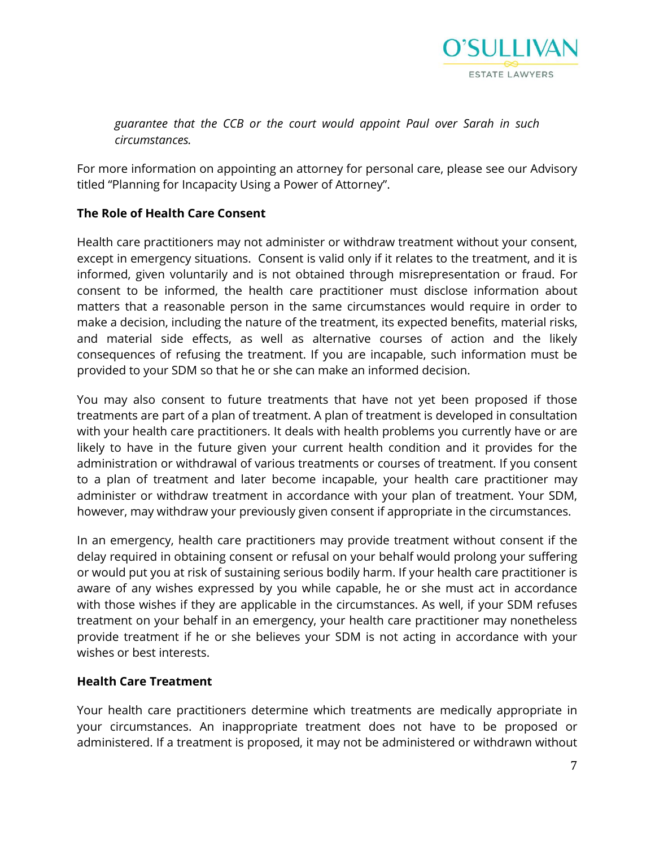

*guarantee that the CCB or the court would appoint Paul over Sarah in such circumstances.* 

For more information on appointing an attorney for personal care, please see our Advisory titled "Planning for Incapacity Using a Power of Attorney".

#### **The Role of Health Care Consent**

Health care practitioners may not administer or withdraw treatment without your consent, except in emergency situations. Consent is valid only if it relates to the treatment, and it is informed, given voluntarily and is not obtained through misrepresentation or fraud. For consent to be informed, the health care practitioner must disclose information about matters that a reasonable person in the same circumstances would require in order to make a decision, including the nature of the treatment, its expected benefits, material risks, and material side effects, as well as alternative courses of action and the likely consequences of refusing the treatment. If you are incapable, such information must be provided to your SDM so that he or she can make an informed decision.

You may also consent to future treatments that have not yet been proposed if those treatments are part of a plan of treatment. A plan of treatment is developed in consultation with your health care practitioners. It deals with health problems you currently have or are likely to have in the future given your current health condition and it provides for the administration or withdrawal of various treatments or courses of treatment. If you consent to a plan of treatment and later become incapable, your health care practitioner may administer or withdraw treatment in accordance with your plan of treatment. Your SDM, however, may withdraw your previously given consent if appropriate in the circumstances.

In an emergency, health care practitioners may provide treatment without consent if the delay required in obtaining consent or refusal on your behalf would prolong your suffering or would put you at risk of sustaining serious bodily harm. If your health care practitioner is aware of any wishes expressed by you while capable, he or she must act in accordance with those wishes if they are applicable in the circumstances. As well, if your SDM refuses treatment on your behalf in an emergency, your health care practitioner may nonetheless provide treatment if he or she believes your SDM is not acting in accordance with your wishes or best interests.

#### **Health Care Treatment**

Your health care practitioners determine which treatments are medically appropriate in your circumstances. An inappropriate treatment does not have to be proposed or administered. If a treatment is proposed, it may not be administered or withdrawn without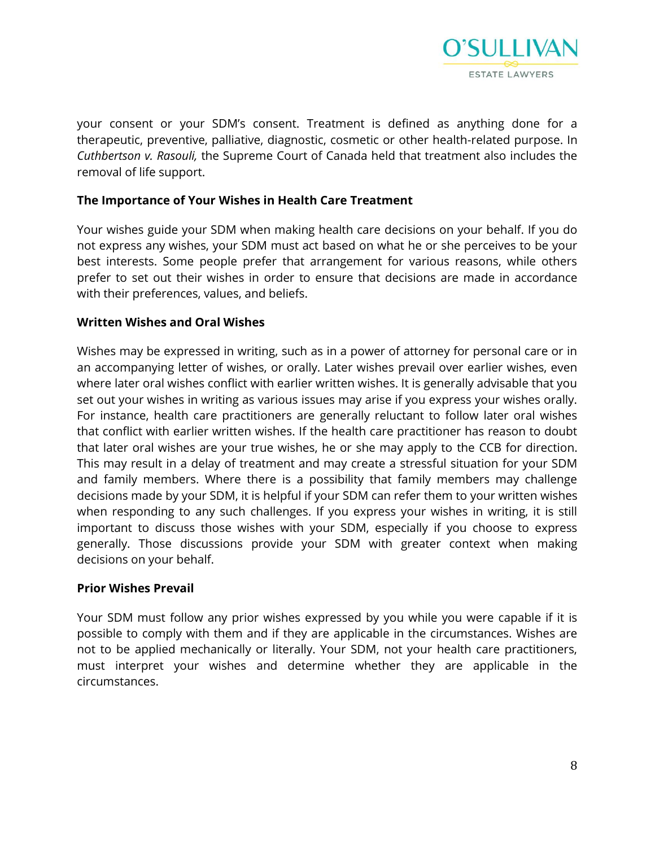

your consent or your SDM's consent. Treatment is defined as anything done for a therapeutic, preventive, palliative, diagnostic, cosmetic or other health-related purpose. In *Cuthbertson v. Rasouli,* the Supreme Court of Canada held that treatment also includes the removal of life support.

#### **The Importance of Your Wishes in Health Care Treatment**

Your wishes guide your SDM when making health care decisions on your behalf. If you do not express any wishes, your SDM must act based on what he or she perceives to be your best interests. Some people prefer that arrangement for various reasons, while others prefer to set out their wishes in order to ensure that decisions are made in accordance with their preferences, values, and beliefs.

#### **Written Wishes and Oral Wishes**

Wishes may be expressed in writing, such as in a power of attorney for personal care or in an accompanying letter of wishes, or orally. Later wishes prevail over earlier wishes, even where later oral wishes conflict with earlier written wishes. It is generally advisable that you set out your wishes in writing as various issues may arise if you express your wishes orally. For instance, health care practitioners are generally reluctant to follow later oral wishes that conflict with earlier written wishes. If the health care practitioner has reason to doubt that later oral wishes are your true wishes, he or she may apply to the CCB for direction. This may result in a delay of treatment and may create a stressful situation for your SDM and family members. Where there is a possibility that family members may challenge decisions made by your SDM, it is helpful if your SDM can refer them to your written wishes when responding to any such challenges. If you express your wishes in writing, it is still important to discuss those wishes with your SDM, especially if you choose to express generally. Those discussions provide your SDM with greater context when making decisions on your behalf.

#### **Prior Wishes Prevail**

Your SDM must follow any prior wishes expressed by you while you were capable if it is possible to comply with them and if they are applicable in the circumstances. Wishes are not to be applied mechanically or literally. Your SDM, not your health care practitioners, must interpret your wishes and determine whether they are applicable in the circumstances.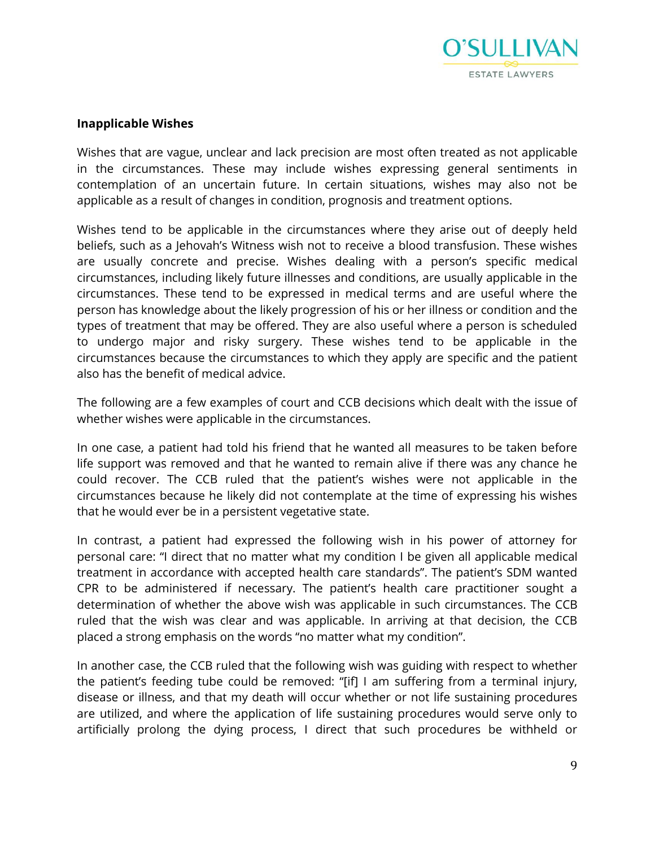

#### **Inapplicable Wishes**

Wishes that are vague, unclear and lack precision are most often treated as not applicable in the circumstances. These may include wishes expressing general sentiments in contemplation of an uncertain future. In certain situations, wishes may also not be applicable as a result of changes in condition, prognosis and treatment options.

Wishes tend to be applicable in the circumstances where they arise out of deeply held beliefs, such as a Jehovah's Witness wish not to receive a blood transfusion. These wishes are usually concrete and precise. Wishes dealing with a person's specific medical circumstances, including likely future illnesses and conditions, are usually applicable in the circumstances. These tend to be expressed in medical terms and are useful where the person has knowledge about the likely progression of his or her illness or condition and the types of treatment that may be offered. They are also useful where a person is scheduled to undergo major and risky surgery. These wishes tend to be applicable in the circumstances because the circumstances to which they apply are specific and the patient also has the benefit of medical advice.

The following are a few examples of court and CCB decisions which dealt with the issue of whether wishes were applicable in the circumstances.

In one case, a patient had told his friend that he wanted all measures to be taken before life support was removed and that he wanted to remain alive if there was any chance he could recover. The CCB ruled that the patient's wishes were not applicable in the circumstances because he likely did not contemplate at the time of expressing his wishes that he would ever be in a persistent vegetative state.

In contrast, a patient had expressed the following wish in his power of attorney for personal care: "I direct that no matter what my condition I be given all applicable medical treatment in accordance with accepted health care standards". The patient's SDM wanted CPR to be administered if necessary. The patient's health care practitioner sought a determination of whether the above wish was applicable in such circumstances. The CCB ruled that the wish was clear and was applicable. In arriving at that decision, the CCB placed a strong emphasis on the words "no matter what my condition".

In another case, the CCB ruled that the following wish was guiding with respect to whether the patient's feeding tube could be removed: "[if] I am suffering from a terminal injury, disease or illness, and that my death will occur whether or not life sustaining procedures are utilized, and where the application of life sustaining procedures would serve only to artificially prolong the dying process, I direct that such procedures be withheld or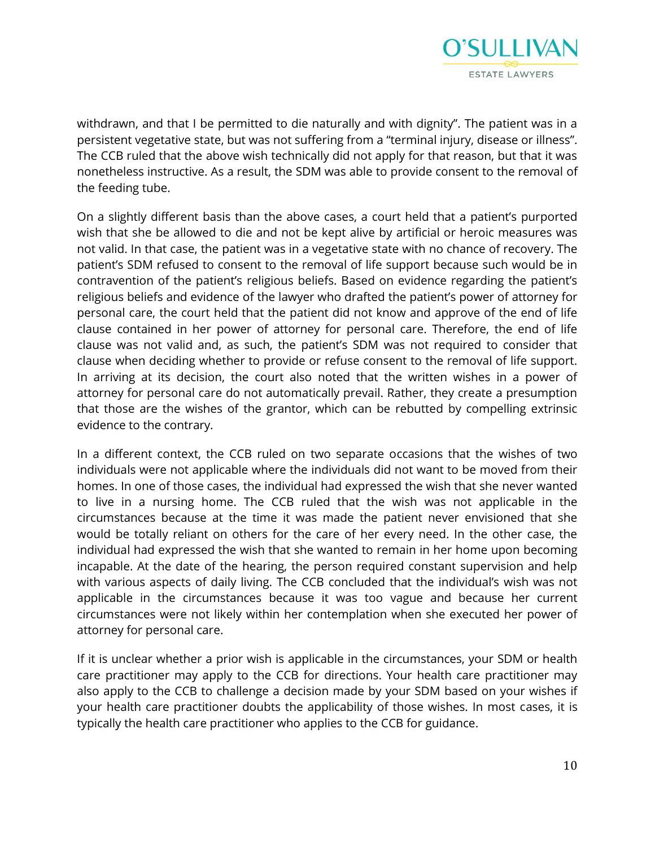

withdrawn, and that I be permitted to die naturally and with dignity". The patient was in a persistent vegetative state, but was not suffering from a "terminal injury, disease or illness". The CCB ruled that the above wish technically did not apply for that reason, but that it was nonetheless instructive. As a result, the SDM was able to provide consent to the removal of the feeding tube.

On a slightly different basis than the above cases, a court held that a patient's purported wish that she be allowed to die and not be kept alive by artificial or heroic measures was not valid. In that case, the patient was in a vegetative state with no chance of recovery. The patient's SDM refused to consent to the removal of life support because such would be in contravention of the patient's religious beliefs. Based on evidence regarding the patient's religious beliefs and evidence of the lawyer who drafted the patient's power of attorney for personal care, the court held that the patient did not know and approve of the end of life clause contained in her power of attorney for personal care. Therefore, the end of life clause was not valid and, as such, the patient's SDM was not required to consider that clause when deciding whether to provide or refuse consent to the removal of life support. In arriving at its decision, the court also noted that the written wishes in a power of attorney for personal care do not automatically prevail. Rather, they create a presumption that those are the wishes of the grantor, which can be rebutted by compelling extrinsic evidence to the contrary.

In a different context, the CCB ruled on two separate occasions that the wishes of two individuals were not applicable where the individuals did not want to be moved from their homes. In one of those cases, the individual had expressed the wish that she never wanted to live in a nursing home. The CCB ruled that the wish was not applicable in the circumstances because at the time it was made the patient never envisioned that she would be totally reliant on others for the care of her every need. In the other case, the individual had expressed the wish that she wanted to remain in her home upon becoming incapable. At the date of the hearing, the person required constant supervision and help with various aspects of daily living. The CCB concluded that the individual's wish was not applicable in the circumstances because it was too vague and because her current circumstances were not likely within her contemplation when she executed her power of attorney for personal care.

If it is unclear whether a prior wish is applicable in the circumstances, your SDM or health care practitioner may apply to the CCB for directions. Your health care practitioner may also apply to the CCB to challenge a decision made by your SDM based on your wishes if your health care practitioner doubts the applicability of those wishes. In most cases, it is typically the health care practitioner who applies to the CCB for guidance.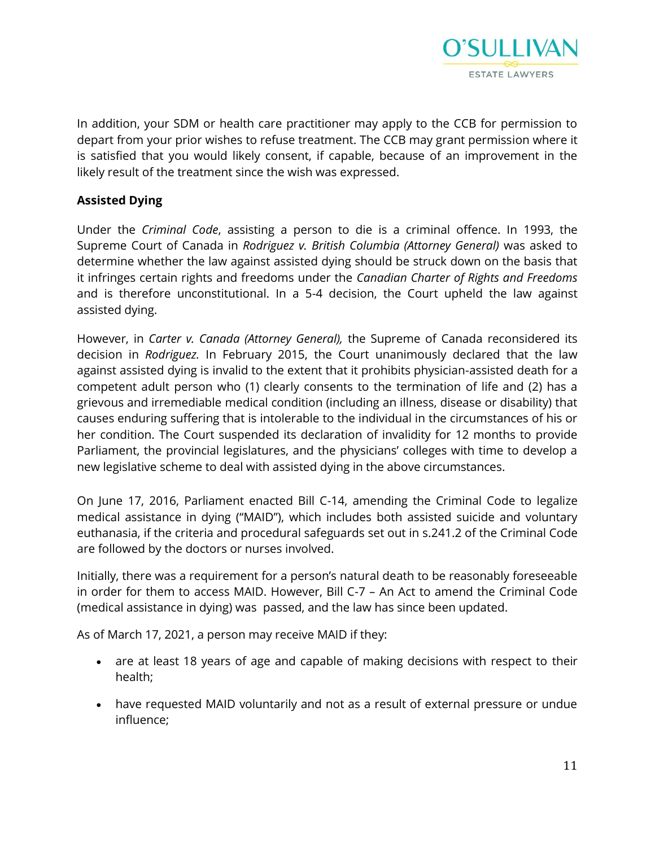

In addition, your SDM or health care practitioner may apply to the CCB for permission to depart from your prior wishes to refuse treatment. The CCB may grant permission where it is satisfied that you would likely consent, if capable, because of an improvement in the likely result of the treatment since the wish was expressed.

### **Assisted Dying**

Under the *Criminal Code*, assisting a person to die is a criminal offence. In 1993, the Supreme Court of Canada in *Rodriguez v. British Columbia (Attorney General)* was asked to determine whether the law against assisted dying should be struck down on the basis that it infringes certain rights and freedoms under the *Canadian Charter of Rights and Freedoms*  and is therefore unconstitutional. In a 5-4 decision, the Court upheld the law against assisted dying.

However, in *Carter v. Canada (Attorney General),* the Supreme of Canada reconsidered its decision in *Rodriguez.* In February 2015, the Court unanimously declared that the law against assisted dying is invalid to the extent that it prohibits physician-assisted death for a competent adult person who (1) clearly consents to the termination of life and (2) has a grievous and irremediable medical condition (including an illness, disease or disability) that causes enduring suffering that is intolerable to the individual in the circumstances of his or her condition. The Court suspended its declaration of invalidity for 12 months to provide Parliament, the provincial legislatures, and the physicians' colleges with time to develop a new legislative scheme to deal with assisted dying in the above circumstances.

On June 17, 2016, Parliament enacted Bill C-14, amending the Criminal Code to legalize medical assistance in dying ("MAID"), which includes both assisted suicide and voluntary euthanasia, if the criteria and procedural safeguards set out in s.241.2 of the Criminal Code are followed by the doctors or nurses involved.

Initially, there was a requirement for a person's natural death to be reasonably foreseeable in order for them to access MAID. However, Bill C-7 – An Act to amend the Criminal Code (medical assistance in dying) was passed, and the law has since been updated.

As of March 17, 2021, a person may receive MAID if they:

- are at least 18 years of age and capable of making decisions with respect to their health;
- have requested MAID voluntarily and not as a result of external pressure or undue influence;